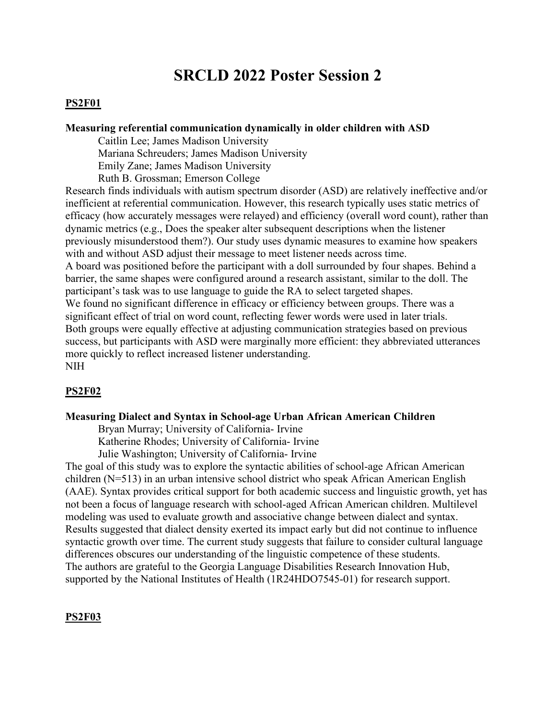# **SRCLD 2022 Poster Session 2**

#### **PS2F01**

#### **Measuring referential communication dynamically in older children with ASD**

Caitlin Lee; James Madison University Mariana Schreuders; James Madison University Emily Zane; James Madison University Ruth B. Grossman; Emerson College

Research finds individuals with autism spectrum disorder (ASD) are relatively ineffective and/or inefficient at referential communication. However, this research typically uses static metrics of efficacy (how accurately messages were relayed) and efficiency (overall word count), rather than dynamic metrics (e.g., Does the speaker alter subsequent descriptions when the listener previously misunderstood them?). Our study uses dynamic measures to examine how speakers with and without ASD adjust their message to meet listener needs across time. A board was positioned before the participant with a doll surrounded by four shapes. Behind a barrier, the same shapes were configured around a research assistant, similar to the doll. The participant's task was to use language to guide the RA to select targeted shapes. We found no significant difference in efficacy or efficiency between groups. There was a significant effect of trial on word count, reflecting fewer words were used in later trials. Both groups were equally effective at adjusting communication strategies based on previous success, but participants with ASD were marginally more efficient: they abbreviated utterances more quickly to reflect increased listener understanding. NIH

# **PS2F02**

#### **Measuring Dialect and Syntax in School-age Urban African American Children**

Bryan Murray; University of California- Irvine

Katherine Rhodes; University of California- Irvine

Julie Washington; University of California- Irvine

The goal of this study was to explore the syntactic abilities of school-age African American children (N=513) in an urban intensive school district who speak African American English (AAE). Syntax provides critical support for both academic success and linguistic growth, yet has not been a focus of language research with school-aged African American children. Multilevel modeling was used to evaluate growth and associative change between dialect and syntax. Results suggested that dialect density exerted its impact early but did not continue to influence syntactic growth over time. The current study suggests that failure to consider cultural language differences obscures our understanding of the linguistic competence of these students. The authors are grateful to the Georgia Language Disabilities Research Innovation Hub, supported by the National Institutes of Health (1R24HDO7545-01) for research support.

#### **PS2F03**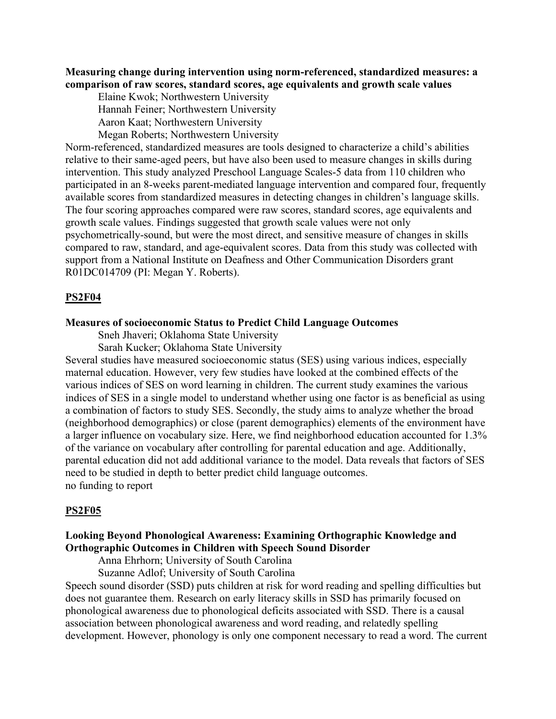**Measuring change during intervention using norm-referenced, standardized measures: a comparison of raw scores, standard scores, age equivalents and growth scale values** 

 Elaine Kwok; Northwestern University Hannah Feiner; Northwestern University Aaron Kaat; Northwestern University

Megan Roberts; Northwestern University

Norm-referenced, standardized measures are tools designed to characterize a child's abilities relative to their same-aged peers, but have also been used to measure changes in skills during intervention. This study analyzed Preschool Language Scales-5 data from 110 children who participated in an 8-weeks parent-mediated language intervention and compared four, frequently available scores from standardized measures in detecting changes in children's language skills. The four scoring approaches compared were raw scores, standard scores, age equivalents and growth scale values. Findings suggested that growth scale values were not only psychometrically-sound, but were the most direct, and sensitive measure of changes in skills compared to raw, standard, and age-equivalent scores. Data from this study was collected with support from a National Institute on Deafness and Other Communication Disorders grant R01DC014709 (PI: Megan Y. Roberts).

#### **PS2F04**

#### **Measures of socioeconomic Status to Predict Child Language Outcomes**

Sneh Jhaveri; Oklahoma State University

Sarah Kucker; Oklahoma State University

Several studies have measured socioeconomic status (SES) using various indices, especially maternal education. However, very few studies have looked at the combined effects of the various indices of SES on word learning in children. The current study examines the various indices of SES in a single model to understand whether using one factor is as beneficial as using a combination of factors to study SES. Secondly, the study aims to analyze whether the broad (neighborhood demographics) or close (parent demographics) elements of the environment have a larger influence on vocabulary size. Here, we find neighborhood education accounted for 1.3% of the variance on vocabulary after controlling for parental education and age. Additionally, parental education did not add additional variance to the model. Data reveals that factors of SES need to be studied in depth to better predict child language outcomes. no funding to report

#### **PS2F05**

# **Looking Beyond Phonological Awareness: Examining Orthographic Knowledge and Orthographic Outcomes in Children with Speech Sound Disorder**

Anna Ehrhorn; University of South Carolina

Suzanne Adlof; University of South Carolina

Speech sound disorder (SSD) puts children at risk for word reading and spelling difficulties but does not guarantee them. Research on early literacy skills in SSD has primarily focused on phonological awareness due to phonological deficits associated with SSD. There is a causal association between phonological awareness and word reading, and relatedly spelling development. However, phonology is only one component necessary to read a word. The current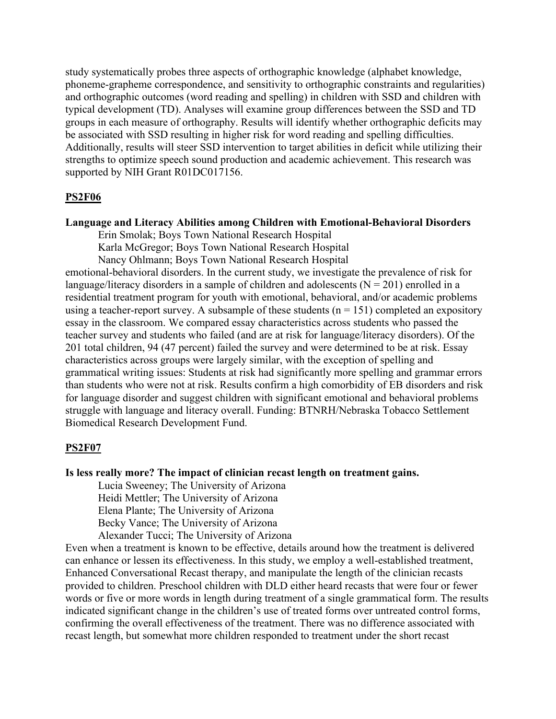study systematically probes three aspects of orthographic knowledge (alphabet knowledge, phoneme-grapheme correspondence, and sensitivity to orthographic constraints and regularities) and orthographic outcomes (word reading and spelling) in children with SSD and children with typical development (TD). Analyses will examine group differences between the SSD and TD groups in each measure of orthography. Results will identify whether orthographic deficits may be associated with SSD resulting in higher risk for word reading and spelling difficulties. Additionally, results will steer SSD intervention to target abilities in deficit while utilizing their strengths to optimize speech sound production and academic achievement. This research was supported by NIH Grant R01DC017156.

# **PS2F06**

#### **Language and Literacy Abilities among Children with Emotional-Behavioral Disorders**

Erin Smolak; Boys Town National Research Hospital Karla McGregor; Boys Town National Research Hospital

Nancy Ohlmann; Boys Town National Research Hospital

emotional-behavioral disorders. In the current study, we investigate the prevalence of risk for language/literacy disorders in a sample of children and adolescents ( $N = 201$ ) enrolled in a residential treatment program for youth with emotional, behavioral, and/or academic problems using a teacher-report survey. A subsample of these students ( $n = 151$ ) completed an expository essay in the classroom. We compared essay characteristics across students who passed the teacher survey and students who failed (and are at risk for language/literacy disorders). Of the 201 total children, 94 (47 percent) failed the survey and were determined to be at risk. Essay characteristics across groups were largely similar, with the exception of spelling and grammatical writing issues: Students at risk had significantly more spelling and grammar errors than students who were not at risk. Results confirm a high comorbidity of EB disorders and risk for language disorder and suggest children with significant emotional and behavioral problems struggle with language and literacy overall. Funding: BTNRH/Nebraska Tobacco Settlement Biomedical Research Development Fund.

#### **PS2F07**

**Is less really more? The impact of clinician recast length on treatment gains.**

Lucia Sweeney; The University of Arizona

Heidi Mettler; The University of Arizona

Elena Plante; The University of Arizona

Becky Vance; The University of Arizona

Alexander Tucci; The University of Arizona

Even when a treatment is known to be effective, details around how the treatment is delivered can enhance or lessen its effectiveness. In this study, we employ a well-established treatment, Enhanced Conversational Recast therapy, and manipulate the length of the clinician recasts provided to children. Preschool children with DLD either heard recasts that were four or fewer words or five or more words in length during treatment of a single grammatical form. The results indicated significant change in the children's use of treated forms over untreated control forms, confirming the overall effectiveness of the treatment. There was no difference associated with recast length, but somewhat more children responded to treatment under the short recast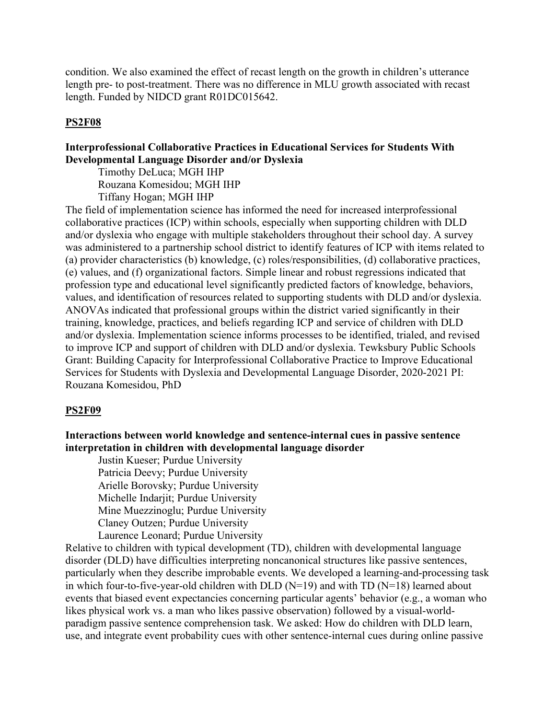condition. We also examined the effect of recast length on the growth in children's utterance length pre- to post-treatment. There was no difference in MLU growth associated with recast length. Funded by NIDCD grant R01DC015642.

# **PS2F08**

# **Interprofessional Collaborative Practices in Educational Services for Students With Developmental Language Disorder and/or Dyslexia**

Timothy DeLuca; MGH IHP Rouzana Komesidou; MGH IHP Tiffany Hogan; MGH IHP

The field of implementation science has informed the need for increased interprofessional collaborative practices (ICP) within schools, especially when supporting children with DLD and/or dyslexia who engage with multiple stakeholders throughout their school day. A survey was administered to a partnership school district to identify features of ICP with items related to (a) provider characteristics (b) knowledge, (c) roles/responsibilities, (d) collaborative practices, (e) values, and (f) organizational factors. Simple linear and robust regressions indicated that profession type and educational level significantly predicted factors of knowledge, behaviors, values, and identification of resources related to supporting students with DLD and/or dyslexia. ANOVAs indicated that professional groups within the district varied significantly in their training, knowledge, practices, and beliefs regarding ICP and service of children with DLD and/or dyslexia. Implementation science informs processes to be identified, trialed, and revised to improve ICP and support of children with DLD and/or dyslexia. Tewksbury Public Schools Grant: Building Capacity for Interprofessional Collaborative Practice to Improve Educational Services for Students with Dyslexia and Developmental Language Disorder, 2020-2021 PI: Rouzana Komesidou, PhD

### **PS2F09**

**Interactions between world knowledge and sentence-internal cues in passive sentence interpretation in children with developmental language disorder**

 Justin Kueser; Purdue University Patricia Deevy; Purdue University Arielle Borovsky; Purdue University Michelle Indarjit; Purdue University Mine Muezzinoglu; Purdue University Claney Outzen; Purdue University Laurence Leonard; Purdue University

Relative to children with typical development (TD), children with developmental language disorder (DLD) have difficulties interpreting noncanonical structures like passive sentences, particularly when they describe improbable events. We developed a learning-and-processing task in which four-to-five-year-old children with DLD ( $N=19$ ) and with TD ( $N=18$ ) learned about events that biased event expectancies concerning particular agents' behavior (e.g., a woman who likes physical work vs. a man who likes passive observation) followed by a visual-worldparadigm passive sentence comprehension task. We asked: How do children with DLD learn, use, and integrate event probability cues with other sentence-internal cues during online passive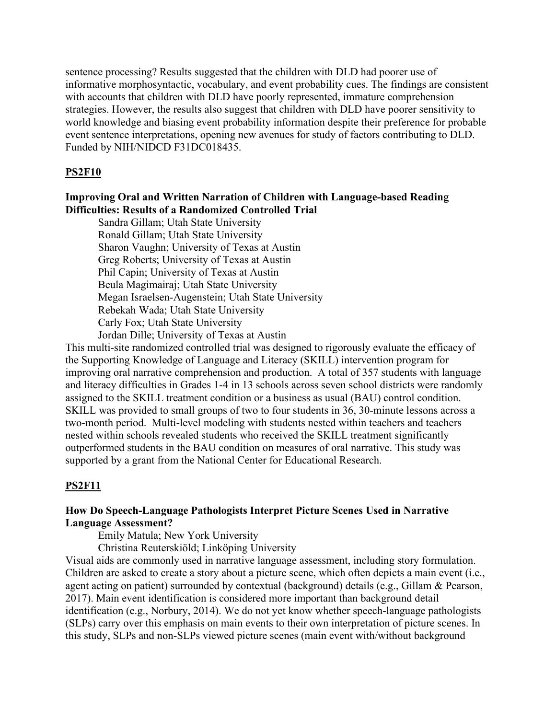sentence processing? Results suggested that the children with DLD had poorer use of informative morphosyntactic, vocabulary, and event probability cues. The findings are consistent with accounts that children with DLD have poorly represented, immature comprehension strategies. However, the results also suggest that children with DLD have poorer sensitivity to world knowledge and biasing event probability information despite their preference for probable event sentence interpretations, opening new avenues for study of factors contributing to DLD. Funded by NIH/NIDCD F31DC018435.

### **PS2F10**

### **Improving Oral and Written Narration of Children with Language-based Reading Difficulties: Results of a Randomized Controlled Trial**

Sandra Gillam; Utah State University Ronald Gillam; Utah State University Sharon Vaughn; University of Texas at Austin Greg Roberts; University of Texas at Austin Phil Capin; University of Texas at Austin Beula Magimairaj; Utah State University Megan Israelsen-Augenstein; Utah State University Rebekah Wada; Utah State University Carly Fox; Utah State University Jordan Dille; University of Texas at Austin

This multi-site randomized controlled trial was designed to rigorously evaluate the efficacy of the Supporting Knowledge of Language and Literacy (SKILL) intervention program for improving oral narrative comprehension and production. A total of 357 students with language and literacy difficulties in Grades 1-4 in 13 schools across seven school districts were randomly assigned to the SKILL treatment condition or a business as usual (BAU) control condition. SKILL was provided to small groups of two to four students in 36, 30-minute lessons across a two-month period. Multi-level modeling with students nested within teachers and teachers nested within schools revealed students who received the SKILL treatment significantly outperformed students in the BAU condition on measures of oral narrative. This study was supported by a grant from the National Center for Educational Research.

### **PS2F11**

### **How Do Speech-Language Pathologists Interpret Picture Scenes Used in Narrative Language Assessment?**

Emily Matula; New York University

Christina Reuterskiöld; Linköping University

Visual aids are commonly used in narrative language assessment, including story formulation. Children are asked to create a story about a picture scene, which often depicts a main event (i.e., agent acting on patient) surrounded by contextual (background) details (e.g., Gillam & Pearson, 2017). Main event identification is considered more important than background detail identification (e.g., Norbury, 2014). We do not yet know whether speech-language pathologists (SLPs) carry over this emphasis on main events to their own interpretation of picture scenes. In this study, SLPs and non-SLPs viewed picture scenes (main event with/without background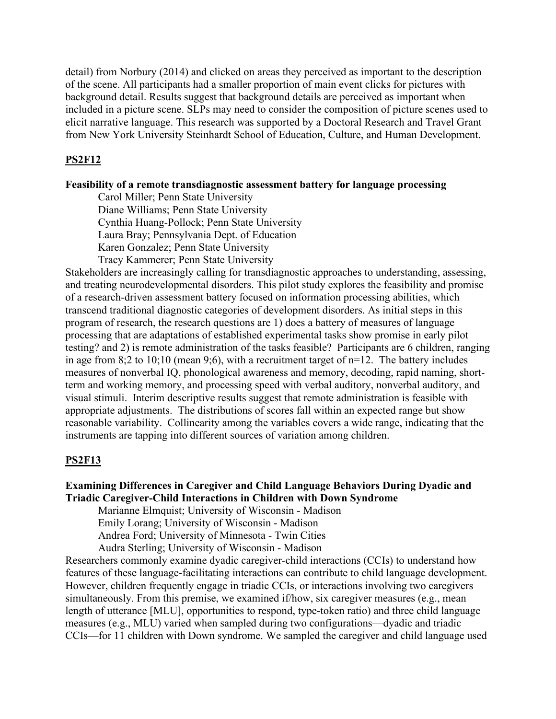detail) from Norbury (2014) and clicked on areas they perceived as important to the description of the scene. All participants had a smaller proportion of main event clicks for pictures with background detail. Results suggest that background details are perceived as important when included in a picture scene. SLPs may need to consider the composition of picture scenes used to elicit narrative language. This research was supported by a Doctoral Research and Travel Grant from New York University Steinhardt School of Education, Culture, and Human Development.

### **PS2F12**

#### **Feasibility of a remote transdiagnostic assessment battery for language processing**

Carol Miller; Penn State University Diane Williams; Penn State University Cynthia Huang-Pollock; Penn State University Laura Bray; Pennsylvania Dept. of Education Karen Gonzalez; Penn State University Tracy Kammerer; Penn State University

Stakeholders are increasingly calling for transdiagnostic approaches to understanding, assessing, and treating neurodevelopmental disorders. This pilot study explores the feasibility and promise of a research-driven assessment battery focused on information processing abilities, which transcend traditional diagnostic categories of development disorders. As initial steps in this program of research, the research questions are 1) does a battery of measures of language processing that are adaptations of established experimental tasks show promise in early pilot testing? and 2) is remote administration of the tasks feasible? Participants are 6 children, ranging in age from 8;2 to 10;10 (mean 9;6), with a recruitment target of  $n=12$ . The battery includes measures of nonverbal IQ, phonological awareness and memory, decoding, rapid naming, shortterm and working memory, and processing speed with verbal auditory, nonverbal auditory, and visual stimuli. Interim descriptive results suggest that remote administration is feasible with appropriate adjustments. The distributions of scores fall within an expected range but show reasonable variability. Collinearity among the variables covers a wide range, indicating that the instruments are tapping into different sources of variation among children.

#### **PS2F13**

# **Examining Differences in Caregiver and Child Language Behaviors During Dyadic and Triadic Caregiver-Child Interactions in Children with Down Syndrome**

 Marianne Elmquist; University of Wisconsin - Madison Emily Lorang; University of Wisconsin - Madison Andrea Ford; University of Minnesota - Twin Cities

Audra Sterling; University of Wisconsin - Madison

Researchers commonly examine dyadic caregiver-child interactions (CCIs) to understand how features of these language-facilitating interactions can contribute to child language development. However, children frequently engage in triadic CCIs, or interactions involving two caregivers simultaneously. From this premise, we examined if/how, six caregiver measures (e.g., mean length of utterance [MLU], opportunities to respond, type-token ratio) and three child language measures (e.g., MLU) varied when sampled during two configurations—dyadic and triadic CCIs—for 11 children with Down syndrome. We sampled the caregiver and child language used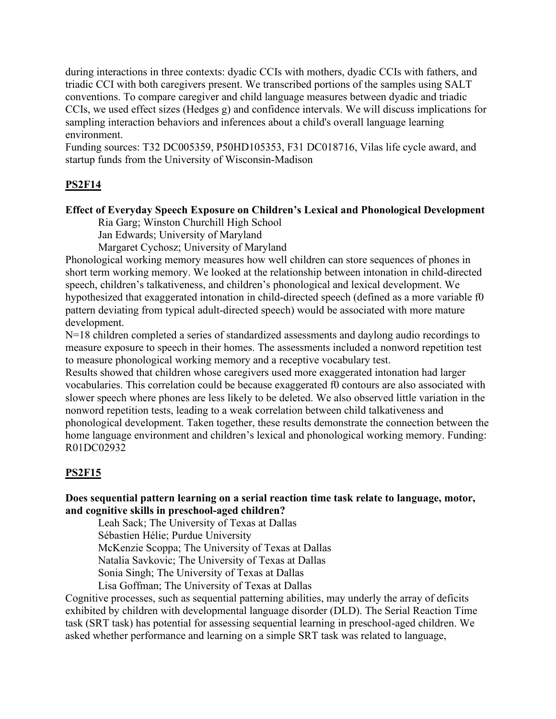during interactions in three contexts: dyadic CCIs with mothers, dyadic CCIs with fathers, and triadic CCI with both caregivers present. We transcribed portions of the samples using SALT conventions. To compare caregiver and child language measures between dyadic and triadic CCIs, we used effect sizes (Hedges g) and confidence intervals. We will discuss implications for sampling interaction behaviors and inferences about a child's overall language learning environment.

Funding sources: T32 DC005359, P50HD105353, F31 DC018716, Vilas life cycle award, and startup funds from the University of Wisconsin-Madison

# **PS2F14**

# **Effect of Everyday Speech Exposure on Children's Lexical and Phonological Development**

 Ria Garg; Winston Churchill High School Jan Edwards; University of Maryland Margaret Cychosz; University of Maryland

Phonological working memory measures how well children can store sequences of phones in short term working memory. We looked at the relationship between intonation in child-directed speech, children's talkativeness, and children's phonological and lexical development. We hypothesized that exaggerated intonation in child-directed speech (defined as a more variable f0 pattern deviating from typical adult-directed speech) would be associated with more mature development.

N=18 children completed a series of standardized assessments and daylong audio recordings to measure exposure to speech in their homes. The assessments included a nonword repetition test to measure phonological working memory and a receptive vocabulary test.

Results showed that children whose caregivers used more exaggerated intonation had larger vocabularies. This correlation could be because exaggerated f0 contours are also associated with slower speech where phones are less likely to be deleted. We also observed little variation in the nonword repetition tests, leading to a weak correlation between child talkativeness and phonological development. Taken together, these results demonstrate the connection between the home language environment and children's lexical and phonological working memory. Funding: R01DC02932

# **PS2F15**

# **Does sequential pattern learning on a serial reaction time task relate to language, motor, and cognitive skills in preschool-aged children?**

Leah Sack; The University of Texas at Dallas

Sébastien Hélie; Purdue University

McKenzie Scoppa; The University of Texas at Dallas

Natalia Savkovic; The University of Texas at Dallas

Sonia Singh; The University of Texas at Dallas

Lisa Goffman; The University of Texas at Dallas

Cognitive processes, such as sequential patterning abilities, may underly the array of deficits exhibited by children with developmental language disorder (DLD). The Serial Reaction Time task (SRT task) has potential for assessing sequential learning in preschool-aged children. We asked whether performance and learning on a simple SRT task was related to language,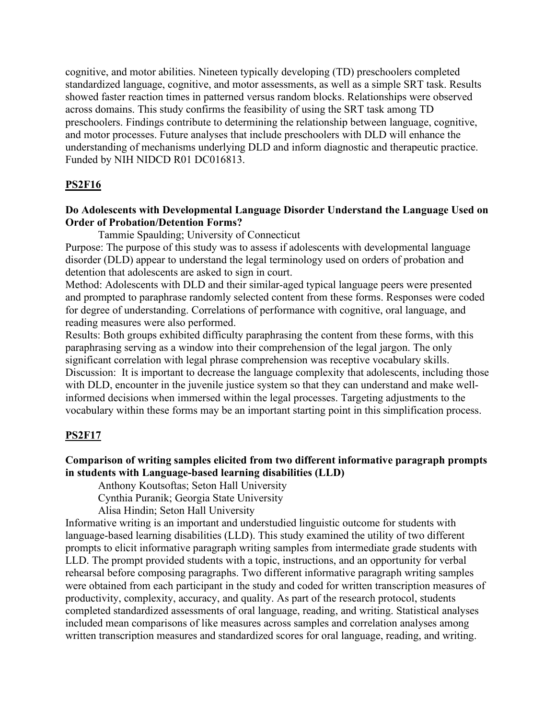cognitive, and motor abilities. Nineteen typically developing (TD) preschoolers completed standardized language, cognitive, and motor assessments, as well as a simple SRT task. Results showed faster reaction times in patterned versus random blocks. Relationships were observed across domains. This study confirms the feasibility of using the SRT task among TD preschoolers. Findings contribute to determining the relationship between language, cognitive, and motor processes. Future analyses that include preschoolers with DLD will enhance the understanding of mechanisms underlying DLD and inform diagnostic and therapeutic practice. Funded by NIH NIDCD R01 DC016813.

### **PS2F16**

# **Do Adolescents with Developmental Language Disorder Understand the Language Used on Order of Probation/Detention Forms?**

Tammie Spaulding; University of Connecticut

Purpose: The purpose of this study was to assess if adolescents with developmental language disorder (DLD) appear to understand the legal terminology used on orders of probation and detention that adolescents are asked to sign in court.

Method: Adolescents with DLD and their similar-aged typical language peers were presented and prompted to paraphrase randomly selected content from these forms. Responses were coded for degree of understanding. Correlations of performance with cognitive, oral language, and reading measures were also performed.

Results: Both groups exhibited difficulty paraphrasing the content from these forms, with this paraphrasing serving as a window into their comprehension of the legal jargon. The only significant correlation with legal phrase comprehension was receptive vocabulary skills. Discussion: It is important to decrease the language complexity that adolescents, including those with DLD, encounter in the juvenile justice system so that they can understand and make wellinformed decisions when immersed within the legal processes. Targeting adjustments to the vocabulary within these forms may be an important starting point in this simplification process.

### **PS2F17**

# **Comparison of writing samples elicited from two different informative paragraph prompts in students with Language-based learning disabilities (LLD)**

Anthony Koutsoftas; Seton Hall University

Cynthia Puranik; Georgia State University

Alisa Hindin; Seton Hall University

Informative writing is an important and understudied linguistic outcome for students with language-based learning disabilities (LLD). This study examined the utility of two different prompts to elicit informative paragraph writing samples from intermediate grade students with LLD. The prompt provided students with a topic, instructions, and an opportunity for verbal rehearsal before composing paragraphs. Two different informative paragraph writing samples were obtained from each participant in the study and coded for written transcription measures of productivity, complexity, accuracy, and quality. As part of the research protocol, students completed standardized assessments of oral language, reading, and writing. Statistical analyses included mean comparisons of like measures across samples and correlation analyses among written transcription measures and standardized scores for oral language, reading, and writing.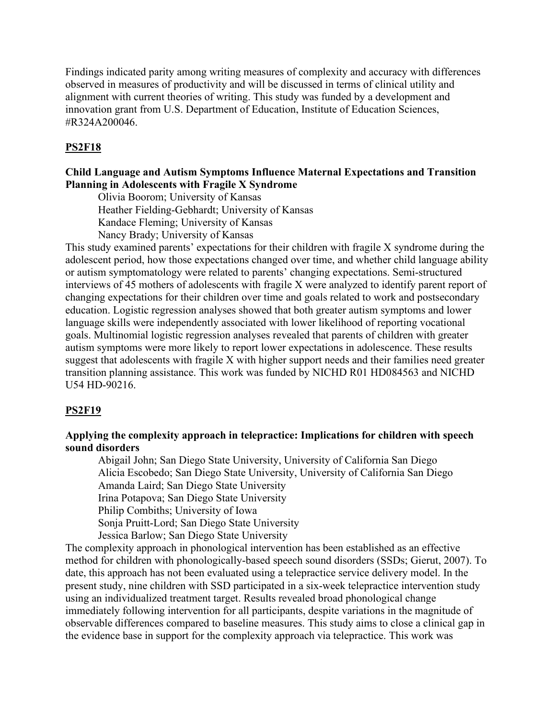Findings indicated parity among writing measures of complexity and accuracy with differences observed in measures of productivity and will be discussed in terms of clinical utility and alignment with current theories of writing. This study was funded by a development and innovation grant from U.S. Department of Education, Institute of Education Sciences, #R324A200046.

# **PS2F18**

# **Child Language and Autism Symptoms Influence Maternal Expectations and Transition Planning in Adolescents with Fragile X Syndrome**

Olivia Boorom; University of Kansas

Heather Fielding-Gebhardt; University of Kansas

Kandace Fleming; University of Kansas

Nancy Brady; University of Kansas

This study examined parents' expectations for their children with fragile X syndrome during the adolescent period, how those expectations changed over time, and whether child language ability or autism symptomatology were related to parents' changing expectations. Semi-structured interviews of 45 mothers of adolescents with fragile X were analyzed to identify parent report of changing expectations for their children over time and goals related to work and postsecondary education. Logistic regression analyses showed that both greater autism symptoms and lower language skills were independently associated with lower likelihood of reporting vocational goals. Multinomial logistic regression analyses revealed that parents of children with greater autism symptoms were more likely to report lower expectations in adolescence. These results suggest that adolescents with fragile X with higher support needs and their families need greater transition planning assistance. This work was funded by NICHD R01 HD084563 and NICHD U54 HD-90216.

### **PS2F19**

# **Applying the complexity approach in telepractice: Implications for children with speech sound disorders**

 Abigail John; San Diego State University, University of California San Diego Alicia Escobedo; San Diego State University, University of California San Diego Amanda Laird; San Diego State University Irina Potapova; San Diego State University Philip Combiths; University of Iowa Sonja Pruitt-Lord; San Diego State University Jessica Barlow; San Diego State University

The complexity approach in phonological intervention has been established as an effective method for children with phonologically-based speech sound disorders (SSDs; Gierut, 2007). To date, this approach has not been evaluated using a telepractice service delivery model. In the present study, nine children with SSD participated in a six-week telepractice intervention study using an individualized treatment target. Results revealed broad phonological change immediately following intervention for all participants, despite variations in the magnitude of observable differences compared to baseline measures. This study aims to close a clinical gap in the evidence base in support for the complexity approach via telepractice. This work was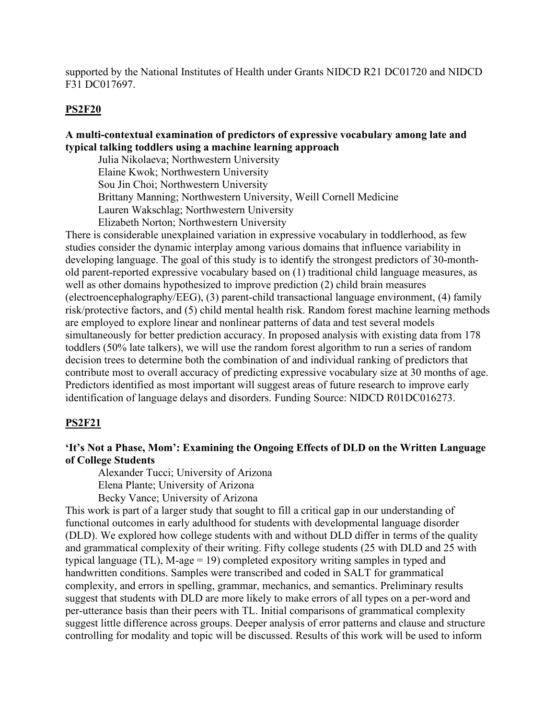supported by the National Institutes of Health under Grants NIDCD R21 DC01720 and NIDCD F31 DC017697.

#### **PS2F20**

# **A multi-contextual examination of predictors of expressive vocabulary among late and typical talking toddlers using a machine learning approach**

Julia Nikolaeva; Northwestern University Elaine Kwok; Northwestern University Sou Jin Choi; Northwestern University Brittany Manning; Northwestern University, Weill Cornell Medicine Lauren Wakschlag; Northwestern University Elizabeth Norton; Northwestern University

There is considerable unexplained variation in expressive vocabulary in toddlerhood, as few studies consider the dynamic interplay among various domains that influence variability in developing language. The goal of this study is to identify the strongest predictors of 30-monthold parent-reported expressive vocabulary based on (1) traditional child language measures, as well as other domains hypothesized to improve prediction (2) child brain measures (electroencephalography/EEG), (3) parent-child transactional language environment, (4) family risk/protective factors, and (5) child mental health risk. Random forest machine learning methods are employed to explore linear and nonlinear patterns of data and test several models simultaneously for better prediction accuracy. In proposed analysis with existing data from 178 toddlers (50% late talkers), we will use the random forest algorithm to run a series of random decision trees to determine both the combination of and individual ranking of predictors that contribute most to overall accuracy of predicting expressive vocabulary size at 30 months of age. Predictors identified as most important will suggest areas of future research to improve early identification of language delays and disorders. Funding Source: NIDCD R01DC016273.

#### **PS2F21**

### **'It's Not a Phase, Mom': Examining the Ongoing Effects of DLD on the Written Language of College Students**

 Alexander Tucci; University of Arizona Elena Plante; University of Arizona Becky Vance; University of Arizona

This work is part of a larger study that sought to fill a critical gap in our understanding of functional outcomes in early adulthood for students with developmental language disorder (DLD). We explored how college students with and without DLD differ in terms of the quality and grammatical complexity of their writing. Fifty college students (25 with DLD and 25 with typical language (TL), M-age = 19) completed expository writing samples in typed and handwritten conditions. Samples were transcribed and coded in SALT for grammatical complexity, and errors in spelling, grammar, mechanics, and semantics. Preliminary results suggest that students with DLD are more likely to make errors of all types on a per-word and per-utterance basis than their peers with TL. Initial comparisons of grammatical complexity suggest little difference across groups. Deeper analysis of error patterns and clause and structure controlling for modality and topic will be discussed. Results of this work will be used to inform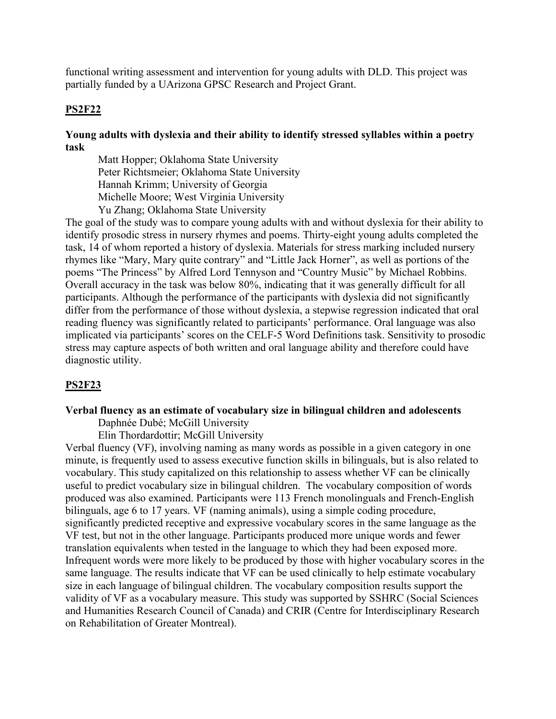functional writing assessment and intervention for young adults with DLD. This project was partially funded by a UArizona GPSC Research and Project Grant.

### **PS2F22**

# **Young adults with dyslexia and their ability to identify stressed syllables within a poetry task**

Matt Hopper; Oklahoma State University Peter Richtsmeier; Oklahoma State University Hannah Krimm; University of Georgia Michelle Moore; West Virginia University Yu Zhang; Oklahoma State University

The goal of the study was to compare young adults with and without dyslexia for their ability to identify prosodic stress in nursery rhymes and poems. Thirty-eight young adults completed the task, 14 of whom reported a history of dyslexia. Materials for stress marking included nursery rhymes like "Mary, Mary quite contrary" and "Little Jack Horner", as well as portions of the poems "The Princess" by Alfred Lord Tennyson and "Country Music" by Michael Robbins. Overall accuracy in the task was below 80%, indicating that it was generally difficult for all participants. Although the performance of the participants with dyslexia did not significantly differ from the performance of those without dyslexia, a stepwise regression indicated that oral reading fluency was significantly related to participants' performance. Oral language was also implicated via participants' scores on the CELF-5 Word Definitions task. Sensitivity to prosodic stress may capture aspects of both written and oral language ability and therefore could have diagnostic utility.

#### **PS2F23**

# **Verbal fluency as an estimate of vocabulary size in bilingual children and adolescents**

Daphnée Dubé; McGill University

Elin Thordardottir; McGill University

Verbal fluency (VF), involving naming as many words as possible in a given category in one minute, is frequently used to assess executive function skills in bilinguals, but is also related to vocabulary. This study capitalized on this relationship to assess whether VF can be clinically useful to predict vocabulary size in bilingual children. The vocabulary composition of words produced was also examined. Participants were 113 French monolinguals and French-English bilinguals, age 6 to 17 years. VF (naming animals), using a simple coding procedure, significantly predicted receptive and expressive vocabulary scores in the same language as the VF test, but not in the other language. Participants produced more unique words and fewer translation equivalents when tested in the language to which they had been exposed more. Infrequent words were more likely to be produced by those with higher vocabulary scores in the same language. The results indicate that VF can be used clinically to help estimate vocabulary size in each language of bilingual children. The vocabulary composition results support the validity of VF as a vocabulary measure. This study was supported by SSHRC (Social Sciences and Humanities Research Council of Canada) and CRIR (Centre for Interdisciplinary Research on Rehabilitation of Greater Montreal).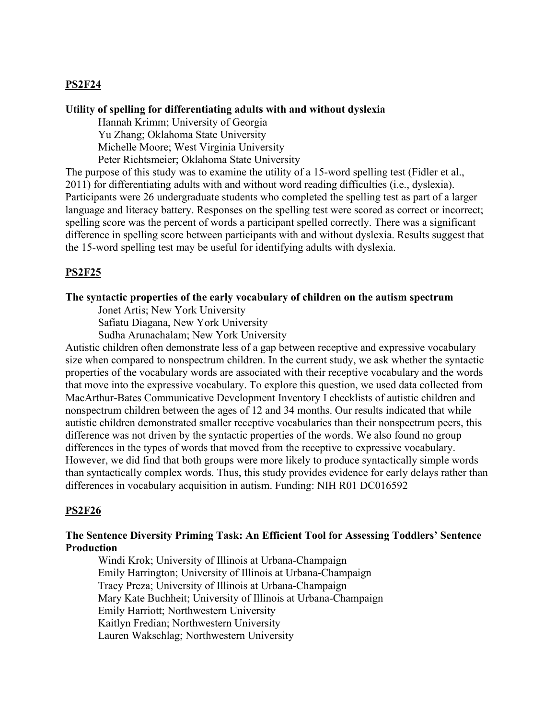# **PS2F24**

#### **Utility of spelling for differentiating adults with and without dyslexia**

 Hannah Krimm; University of Georgia Yu Zhang; Oklahoma State University Michelle Moore; West Virginia University Peter Richtsmeier; Oklahoma State University

The purpose of this study was to examine the utility of a 15-word spelling test (Fidler et al., 2011) for differentiating adults with and without word reading difficulties (i.e., dyslexia). Participants were 26 undergraduate students who completed the spelling test as part of a larger language and literacy battery. Responses on the spelling test were scored as correct or incorrect; spelling score was the percent of words a participant spelled correctly. There was a significant difference in spelling score between participants with and without dyslexia. Results suggest that the 15-word spelling test may be useful for identifying adults with dyslexia.

### **PS2F25**

### **The syntactic properties of the early vocabulary of children on the autism spectrum**

Jonet Artis; New York University

Safiatu Diagana, New York University

Sudha Arunachalam; New York University

Autistic children often demonstrate less of a gap between receptive and expressive vocabulary size when compared to nonspectrum children. In the current study, we ask whether the syntactic properties of the vocabulary words are associated with their receptive vocabulary and the words that move into the expressive vocabulary. To explore this question, we used data collected from MacArthur-Bates Communicative Development Inventory I checklists of autistic children and nonspectrum children between the ages of 12 and 34 months. Our results indicated that while autistic children demonstrated smaller receptive vocabularies than their nonspectrum peers, this difference was not driven by the syntactic properties of the words. We also found no group differences in the types of words that moved from the receptive to expressive vocabulary. However, we did find that both groups were more likely to produce syntactically simple words than syntactically complex words. Thus, this study provides evidence for early delays rather than differences in vocabulary acquisition in autism. Funding: NIH R01 DC016592

#### **PS2F26**

### **The Sentence Diversity Priming Task: An Efficient Tool for Assessing Toddlers' Sentence Production**

 Windi Krok; University of Illinois at Urbana-Champaign Emily Harrington; University of Illinois at Urbana-Champaign Tracy Preza; University of Illinois at Urbana-Champaign Mary Kate Buchheit; University of Illinois at Urbana-Champaign Emily Harriott; Northwestern University Kaitlyn Fredian; Northwestern University Lauren Wakschlag; Northwestern University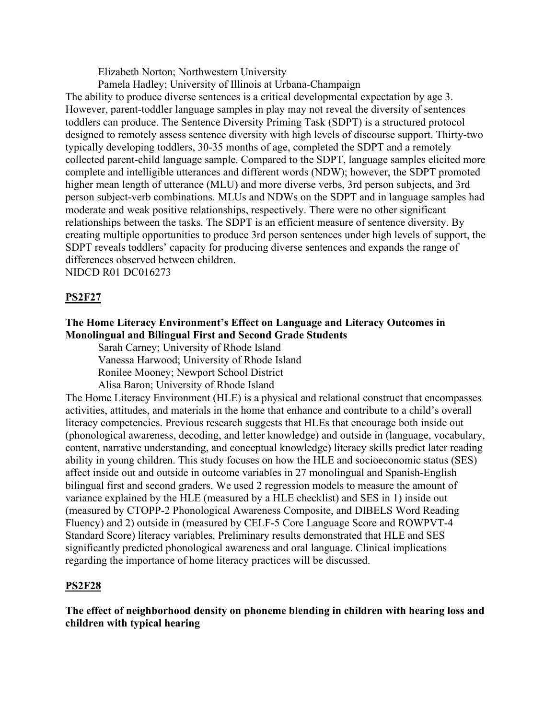Elizabeth Norton; Northwestern University

Pamela Hadley; University of Illinois at Urbana-Champaign

The ability to produce diverse sentences is a critical developmental expectation by age 3. However, parent-toddler language samples in play may not reveal the diversity of sentences toddlers can produce. The Sentence Diversity Priming Task (SDPT) is a structured protocol designed to remotely assess sentence diversity with high levels of discourse support. Thirty-two typically developing toddlers, 30-35 months of age, completed the SDPT and a remotely collected parent-child language sample. Compared to the SDPT, language samples elicited more complete and intelligible utterances and different words (NDW); however, the SDPT promoted higher mean length of utterance (MLU) and more diverse verbs, 3rd person subjects, and 3rd person subject-verb combinations. MLUs and NDWs on the SDPT and in language samples had moderate and weak positive relationships, respectively. There were no other significant relationships between the tasks. The SDPT is an efficient measure of sentence diversity. By creating multiple opportunities to produce 3rd person sentences under high levels of support, the SDPT reveals toddlers' capacity for producing diverse sentences and expands the range of differences observed between children. NIDCD R01 DC016273

**PS2F27**

# **The Home Literacy Environment's Effect on Language and Literacy Outcomes in Monolingual and Bilingual First and Second Grade Students**

Sarah Carney; University of Rhode Island

Vanessa Harwood; University of Rhode Island

Ronilee Mooney; Newport School District

Alisa Baron; University of Rhode Island

The Home Literacy Environment (HLE) is a physical and relational construct that encompasses activities, attitudes, and materials in the home that enhance and contribute to a child's overall literacy competencies. Previous research suggests that HLEs that encourage both inside out (phonological awareness, decoding, and letter knowledge) and outside in (language, vocabulary, content, narrative understanding, and conceptual knowledge) literacy skills predict later reading ability in young children. This study focuses on how the HLE and socioeconomic status (SES) affect inside out and outside in outcome variables in 27 monolingual and Spanish-English bilingual first and second graders. We used 2 regression models to measure the amount of variance explained by the HLE (measured by a HLE checklist) and SES in 1) inside out (measured by CTOPP-2 Phonological Awareness Composite, and DIBELS Word Reading Fluency) and 2) outside in (measured by CELF-5 Core Language Score and ROWPVT-4 Standard Score) literacy variables. Preliminary results demonstrated that HLE and SES significantly predicted phonological awareness and oral language. Clinical implications regarding the importance of home literacy practices will be discussed.

# **PS2F28**

**The effect of neighborhood density on phoneme blending in children with hearing loss and children with typical hearing**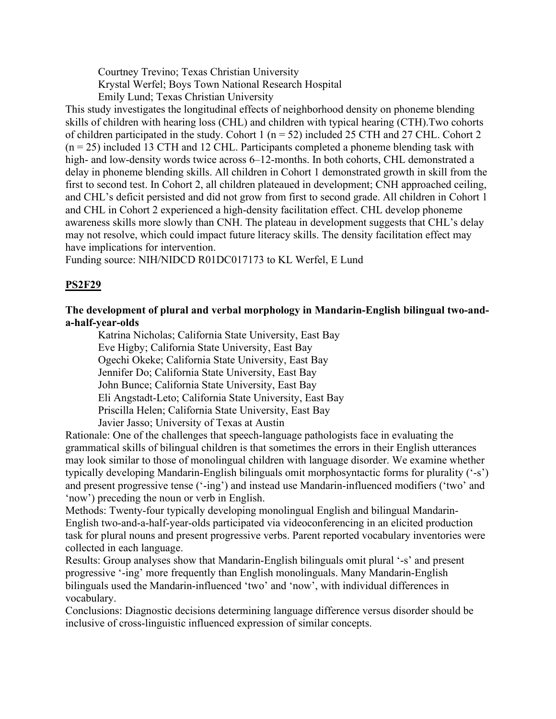Courtney Trevino; Texas Christian University Krystal Werfel; Boys Town National Research Hospital Emily Lund; Texas Christian University

This study investigates the longitudinal effects of neighborhood density on phoneme blending skills of children with hearing loss (CHL) and children with typical hearing (CTH).Two cohorts of children participated in the study. Cohort 1 ( $n = 52$ ) included 25 CTH and 27 CHL. Cohort 2  $(n = 25)$  included 13 CTH and 12 CHL. Participants completed a phoneme blending task with high- and low-density words twice across 6–12-months. In both cohorts, CHL demonstrated a delay in phoneme blending skills. All children in Cohort 1 demonstrated growth in skill from the first to second test. In Cohort 2, all children plateaued in development; CNH approached ceiling, and CHL's deficit persisted and did not grow from first to second grade. All children in Cohort 1 and CHL in Cohort 2 experienced a high-density facilitation effect. CHL develop phoneme awareness skills more slowly than CNH. The plateau in development suggests that CHL's delay may not resolve, which could impact future literacy skills. The density facilitation effect may have implications for intervention.

Funding source: NIH/NIDCD R01DC017173 to KL Werfel, E Lund

# **PS2F29**

# **The development of plural and verbal morphology in Mandarin-English bilingual two-anda-half-year-olds**

Katrina Nicholas; California State University, East Bay Eve Higby; California State University, East Bay Ogechi Okeke; California State University, East Bay Jennifer Do; California State University, East Bay John Bunce; California State University, East Bay Eli Angstadt-Leto; California State University, East Bay Priscilla Helen; California State University, East Bay Javier Jasso; University of Texas at Austin

Rationale: One of the challenges that speech-language pathologists face in evaluating the grammatical skills of bilingual children is that sometimes the errors in their English utterances may look similar to those of monolingual children with language disorder. We examine whether typically developing Mandarin-English bilinguals omit morphosyntactic forms for plurality ('-s') and present progressive tense ('-ing') and instead use Mandarin-influenced modifiers ('two' and 'now') preceding the noun or verb in English.

Methods: Twenty-four typically developing monolingual English and bilingual Mandarin-English two-and-a-half-year-olds participated via videoconferencing in an elicited production task for plural nouns and present progressive verbs. Parent reported vocabulary inventories were collected in each language.

Results: Group analyses show that Mandarin-English bilinguals omit plural '-s' and present progressive '-ing' more frequently than English monolinguals. Many Mandarin-English bilinguals used the Mandarin-influenced 'two' and 'now', with individual differences in vocabulary.

Conclusions: Diagnostic decisions determining language difference versus disorder should be inclusive of cross-linguistic influenced expression of similar concepts.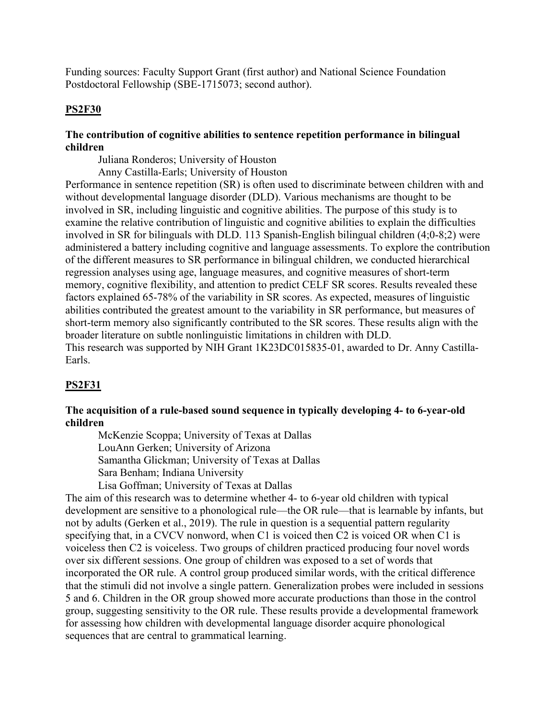Funding sources: Faculty Support Grant (first author) and National Science Foundation Postdoctoral Fellowship (SBE-1715073; second author).

# **PS2F30**

# **The contribution of cognitive abilities to sentence repetition performance in bilingual children**

Juliana Ronderos; University of Houston

Anny Castilla-Earls; University of Houston

Performance in sentence repetition (SR) is often used to discriminate between children with and without developmental language disorder (DLD). Various mechanisms are thought to be involved in SR, including linguistic and cognitive abilities. The purpose of this study is to examine the relative contribution of linguistic and cognitive abilities to explain the difficulties involved in SR for bilinguals with DLD. 113 Spanish-English bilingual children (4;0-8;2) were administered a battery including cognitive and language assessments. To explore the contribution of the different measures to SR performance in bilingual children, we conducted hierarchical regression analyses using age, language measures, and cognitive measures of short-term memory, cognitive flexibility, and attention to predict CELF SR scores. Results revealed these factors explained 65-78% of the variability in SR scores. As expected, measures of linguistic abilities contributed the greatest amount to the variability in SR performance, but measures of short-term memory also significantly contributed to the SR scores. These results align with the broader literature on subtle nonlinguistic limitations in children with DLD. This research was supported by NIH Grant 1K23DC015835-01, awarded to Dr. Anny Castilla-Earls.

# **PS2F31**

# **The acquisition of a rule-based sound sequence in typically developing 4- to 6-year-old children**

McKenzie Scoppa; University of Texas at Dallas LouAnn Gerken; University of Arizona Samantha Glickman; University of Texas at Dallas Sara Benham; Indiana University Lisa Goffman; University of Texas at Dallas

The aim of this research was to determine whether 4- to 6-year old children with typical development are sensitive to a phonological rule—the OR rule—that is learnable by infants, but not by adults (Gerken et al., 2019). The rule in question is a sequential pattern regularity specifying that, in a CVCV nonword, when C1 is voiced then C2 is voiced OR when C1 is voiceless then C2 is voiceless. Two groups of children practiced producing four novel words over six different sessions. One group of children was exposed to a set of words that incorporated the OR rule. A control group produced similar words, with the critical difference that the stimuli did not involve a single pattern. Generalization probes were included in sessions 5 and 6. Children in the OR group showed more accurate productions than those in the control group, suggesting sensitivity to the OR rule. These results provide a developmental framework for assessing how children with developmental language disorder acquire phonological sequences that are central to grammatical learning.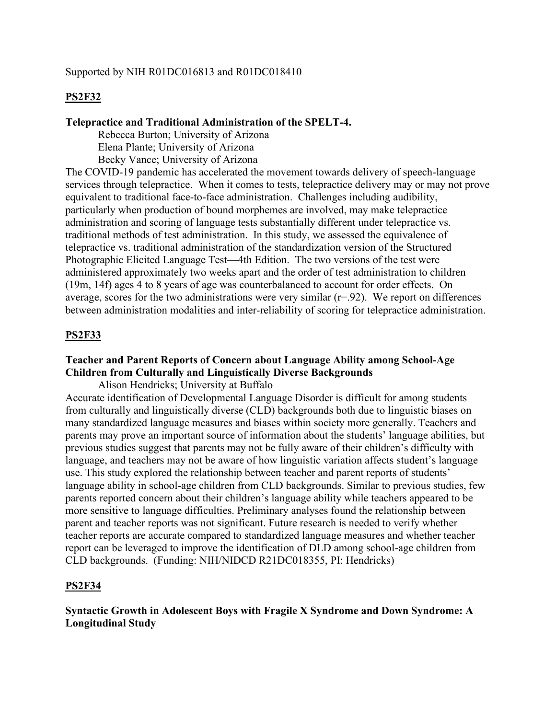### Supported by NIH R01DC016813 and R01DC018410

### **PS2F32**

#### **Telepractice and Traditional Administration of the SPELT-4.**

 Rebecca Burton; University of Arizona Elena Plante; University of Arizona Becky Vance; University of Arizona

The COVID-19 pandemic has accelerated the movement towards delivery of speech-language services through telepractice. When it comes to tests, telepractice delivery may or may not prove equivalent to traditional face-to-face administration. Challenges including audibility, particularly when production of bound morphemes are involved, may make telepractice administration and scoring of language tests substantially different under telepractice vs. traditional methods of test administration. In this study, we assessed the equivalence of telepractice vs. traditional administration of the standardization version of the Structured Photographic Elicited Language Test—4th Edition. The two versions of the test were administered approximately two weeks apart and the order of test administration to children (19m, 14f) ages 4 to 8 years of age was counterbalanced to account for order effects. On average, scores for the two administrations were very similar  $(r=92)$ . We report on differences between administration modalities and inter-reliability of scoring for telepractice administration.

### **PS2F33**

# **Teacher and Parent Reports of Concern about Language Ability among School-Age Children from Culturally and Linguistically Diverse Backgrounds**

Alison Hendricks; University at Buffalo

Accurate identification of Developmental Language Disorder is difficult for among students from culturally and linguistically diverse (CLD) backgrounds both due to linguistic biases on many standardized language measures and biases within society more generally. Teachers and parents may prove an important source of information about the students' language abilities, but previous studies suggest that parents may not be fully aware of their children's difficulty with language, and teachers may not be aware of how linguistic variation affects student's language use. This study explored the relationship between teacher and parent reports of students' language ability in school-age children from CLD backgrounds. Similar to previous studies, few parents reported concern about their children's language ability while teachers appeared to be more sensitive to language difficulties. Preliminary analyses found the relationship between parent and teacher reports was not significant. Future research is needed to verify whether teacher reports are accurate compared to standardized language measures and whether teacher report can be leveraged to improve the identification of DLD among school-age children from CLD backgrounds. (Funding: NIH/NIDCD R21DC018355, PI: Hendricks)

#### **PS2F34**

**Syntactic Growth in Adolescent Boys with Fragile X Syndrome and Down Syndrome: A Longitudinal Study**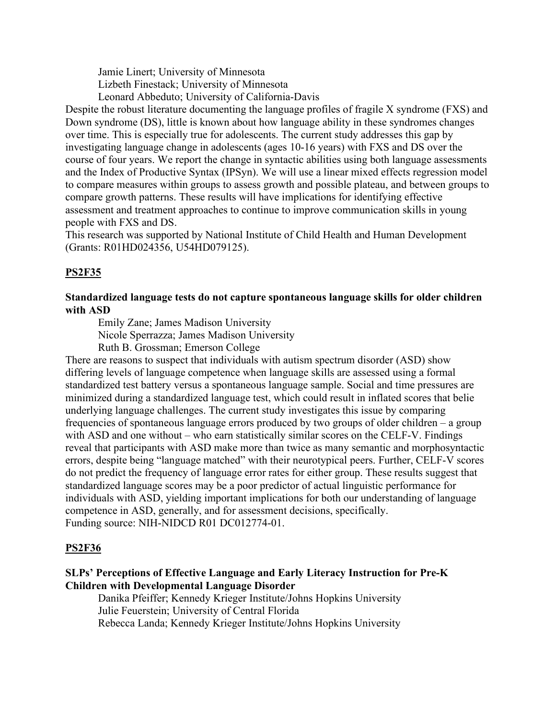Jamie Linert; University of Minnesota Lizbeth Finestack; University of Minnesota Leonard Abbeduto; University of California-Davis

Despite the robust literature documenting the language profiles of fragile X syndrome (FXS) and Down syndrome (DS), little is known about how language ability in these syndromes changes over time. This is especially true for adolescents. The current study addresses this gap by investigating language change in adolescents (ages 10-16 years) with FXS and DS over the course of four years. We report the change in syntactic abilities using both language assessments and the Index of Productive Syntax (IPSyn). We will use a linear mixed effects regression model to compare measures within groups to assess growth and possible plateau, and between groups to compare growth patterns. These results will have implications for identifying effective assessment and treatment approaches to continue to improve communication skills in young people with FXS and DS.

This research was supported by National Institute of Child Health and Human Development (Grants: R01HD024356, U54HD079125).

# **PS2F35**

# **Standardized language tests do not capture spontaneous language skills for older children with ASD**

Emily Zane; James Madison University

Nicole Sperrazza; James Madison University

Ruth B. Grossman; Emerson College

There are reasons to suspect that individuals with autism spectrum disorder (ASD) show differing levels of language competence when language skills are assessed using a formal standardized test battery versus a spontaneous language sample. Social and time pressures are minimized during a standardized language test, which could result in inflated scores that belie underlying language challenges. The current study investigates this issue by comparing frequencies of spontaneous language errors produced by two groups of older children – a group with ASD and one without – who earn statistically similar scores on the CELF-V. Findings reveal that participants with ASD make more than twice as many semantic and morphosyntactic errors, despite being "language matched" with their neurotypical peers. Further, CELF-V scores do not predict the frequency of language error rates for either group. These results suggest that standardized language scores may be a poor predictor of actual linguistic performance for individuals with ASD, yielding important implications for both our understanding of language competence in ASD, generally, and for assessment decisions, specifically. Funding source: NIH-NIDCD R01 DC012774-01.

### **PS2F36**

# **SLPs' Perceptions of Effective Language and Early Literacy Instruction for Pre-K Children with Developmental Language Disorder**

 Danika Pfeiffer; Kennedy Krieger Institute/Johns Hopkins University Julie Feuerstein; University of Central Florida Rebecca Landa; Kennedy Krieger Institute/Johns Hopkins University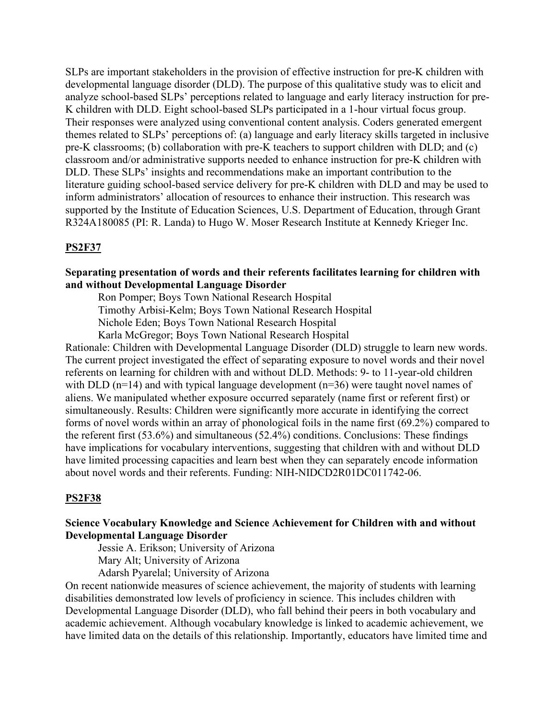SLPs are important stakeholders in the provision of effective instruction for pre-K children with developmental language disorder (DLD). The purpose of this qualitative study was to elicit and analyze school-based SLPs' perceptions related to language and early literacy instruction for pre-K children with DLD. Eight school-based SLPs participated in a 1-hour virtual focus group. Their responses were analyzed using conventional content analysis. Coders generated emergent themes related to SLPs' perceptions of: (a) language and early literacy skills targeted in inclusive pre-K classrooms; (b) collaboration with pre-K teachers to support children with DLD; and (c) classroom and/or administrative supports needed to enhance instruction for pre-K children with DLD. These SLPs' insights and recommendations make an important contribution to the literature guiding school-based service delivery for pre-K children with DLD and may be used to inform administrators' allocation of resources to enhance their instruction. This research was supported by the Institute of Education Sciences, U.S. Department of Education, through Grant R324A180085 (PI: R. Landa) to Hugo W. Moser Research Institute at Kennedy Krieger Inc.

### **PS2F37**

### **Separating presentation of words and their referents facilitates learning for children with and without Developmental Language Disorder**

 Ron Pomper; Boys Town National Research Hospital Timothy Arbisi-Kelm; Boys Town National Research Hospital Nichole Eden; Boys Town National Research Hospital Karla McGregor; Boys Town National Research Hospital

Rationale: Children with Developmental Language Disorder (DLD) struggle to learn new words. The current project investigated the effect of separating exposure to novel words and their novel referents on learning for children with and without DLD. Methods: 9- to 11-year-old children with DLD ( $n=14$ ) and with typical language development ( $n=36$ ) were taught novel names of aliens. We manipulated whether exposure occurred separately (name first or referent first) or simultaneously. Results: Children were significantly more accurate in identifying the correct forms of novel words within an array of phonological foils in the name first (69.2%) compared to the referent first (53.6%) and simultaneous (52.4%) conditions. Conclusions: These findings have implications for vocabulary interventions, suggesting that children with and without DLD have limited processing capacities and learn best when they can separately encode information about novel words and their referents. Funding: NIH-NIDCD2R01DC011742-06.

#### **PS2F38**

# **Science Vocabulary Knowledge and Science Achievement for Children with and without Developmental Language Disorder**

Jessie A. Erikson; University of Arizona

Mary Alt; University of Arizona

Adarsh Pyarelal; University of Arizona

On recent nationwide measures of science achievement, the majority of students with learning disabilities demonstrated low levels of proficiency in science. This includes children with Developmental Language Disorder (DLD), who fall behind their peers in both vocabulary and academic achievement. Although vocabulary knowledge is linked to academic achievement, we have limited data on the details of this relationship. Importantly, educators have limited time and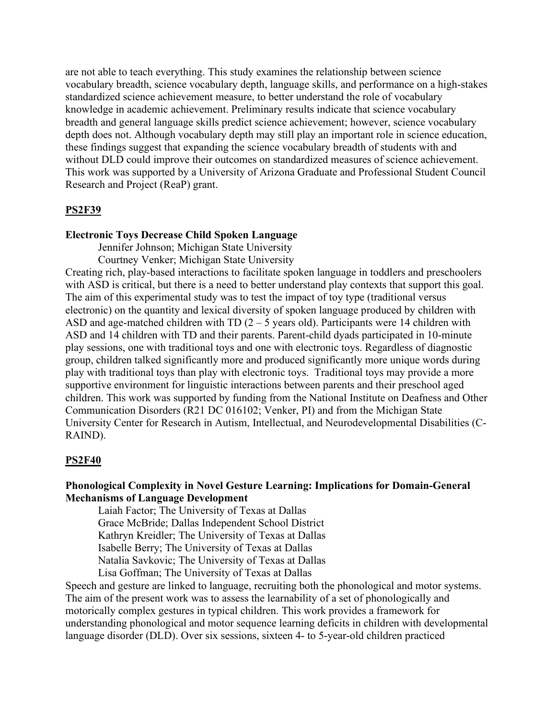are not able to teach everything. This study examines the relationship between science vocabulary breadth, science vocabulary depth, language skills, and performance on a high-stakes standardized science achievement measure, to better understand the role of vocabulary knowledge in academic achievement. Preliminary results indicate that science vocabulary breadth and general language skills predict science achievement; however, science vocabulary depth does not. Although vocabulary depth may still play an important role in science education, these findings suggest that expanding the science vocabulary breadth of students with and without DLD could improve their outcomes on standardized measures of science achievement. This work was supported by a University of Arizona Graduate and Professional Student Council Research and Project (ReaP) grant.

#### **PS2F39**

#### **Electronic Toys Decrease Child Spoken Language**

Jennifer Johnson; Michigan State University

Courtney Venker; Michigan State University

Creating rich, play-based interactions to facilitate spoken language in toddlers and preschoolers with ASD is critical, but there is a need to better understand play contexts that support this goal. The aim of this experimental study was to test the impact of toy type (traditional versus electronic) on the quantity and lexical diversity of spoken language produced by children with ASD and age-matched children with TD  $(2 - 5)$  years old). Participants were 14 children with ASD and 14 children with TD and their parents. Parent-child dyads participated in 10-minute play sessions, one with traditional toys and one with electronic toys. Regardless of diagnostic group, children talked significantly more and produced significantly more unique words during play with traditional toys than play with electronic toys. Traditional toys may provide a more supportive environment for linguistic interactions between parents and their preschool aged children. This work was supported by funding from the National Institute on Deafness and Other Communication Disorders (R21 DC 016102; Venker, PI) and from the Michigan State University Center for Research in Autism, Intellectual, and Neurodevelopmental Disabilities (C-RAIND).

#### **PS2F40**

# **Phonological Complexity in Novel Gesture Learning: Implications for Domain-General Mechanisms of Language Development**

Laiah Factor; The University of Texas at Dallas Grace McBride; Dallas Independent School District Kathryn Kreidler; The University of Texas at Dallas Isabelle Berry; The University of Texas at Dallas Natalia Savkovic; The University of Texas at Dallas Lisa Goffman; The University of Texas at Dallas

Speech and gesture are linked to language, recruiting both the phonological and motor systems. The aim of the present work was to assess the learnability of a set of phonologically and motorically complex gestures in typical children. This work provides a framework for understanding phonological and motor sequence learning deficits in children with developmental language disorder (DLD). Over six sessions, sixteen 4- to 5-year-old children practiced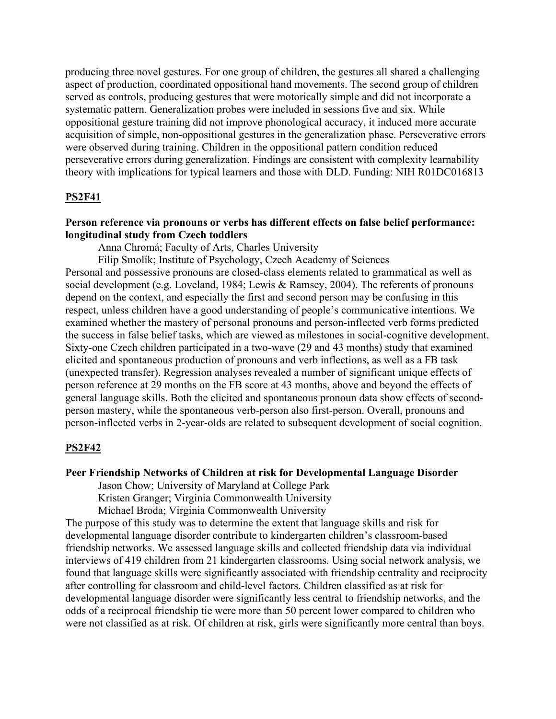producing three novel gestures. For one group of children, the gestures all shared a challenging aspect of production, coordinated oppositional hand movements. The second group of children served as controls, producing gestures that were motorically simple and did not incorporate a systematic pattern. Generalization probes were included in sessions five and six. While oppositional gesture training did not improve phonological accuracy, it induced more accurate acquisition of simple, non-oppositional gestures in the generalization phase. Perseverative errors were observed during training. Children in the oppositional pattern condition reduced perseverative errors during generalization. Findings are consistent with complexity learnability theory with implications for typical learners and those with DLD. Funding: NIH R01DC016813

### **PS2F41**

### **Person reference via pronouns or verbs has different effects on false belief performance: longitudinal study from Czech toddlers**

Anna Chromá; Faculty of Arts, Charles University

Filip Smolík; Institute of Psychology, Czech Academy of Sciences

Personal and possessive pronouns are closed-class elements related to grammatical as well as social development (e.g. Loveland, 1984; Lewis & Ramsey, 2004). The referents of pronouns depend on the context, and especially the first and second person may be confusing in this respect, unless children have a good understanding of people's communicative intentions. We examined whether the mastery of personal pronouns and person-inflected verb forms predicted the success in false belief tasks, which are viewed as milestones in social-cognitive development. Sixty-one Czech children participated in a two-wave (29 and 43 months) study that examined elicited and spontaneous production of pronouns and verb inflections, as well as a FB task (unexpected transfer). Regression analyses revealed a number of significant unique effects of person reference at 29 months on the FB score at 43 months, above and beyond the effects of general language skills. Both the elicited and spontaneous pronoun data show effects of secondperson mastery, while the spontaneous verb-person also first-person. Overall, pronouns and person-inflected verbs in 2-year-olds are related to subsequent development of social cognition.

#### **PS2F42**

#### **Peer Friendship Networks of Children at risk for Developmental Language Disorder**

Jason Chow; University of Maryland at College Park

Kristen Granger; Virginia Commonwealth University

Michael Broda; Virginia Commonwealth University

The purpose of this study was to determine the extent that language skills and risk for developmental language disorder contribute to kindergarten children's classroom-based friendship networks. We assessed language skills and collected friendship data via individual interviews of 419 children from 21 kindergarten classrooms. Using social network analysis, we found that language skills were significantly associated with friendship centrality and reciprocity after controlling for classroom and child-level factors. Children classified as at risk for developmental language disorder were significantly less central to friendship networks, and the odds of a reciprocal friendship tie were more than 50 percent lower compared to children who were not classified as at risk. Of children at risk, girls were significantly more central than boys.